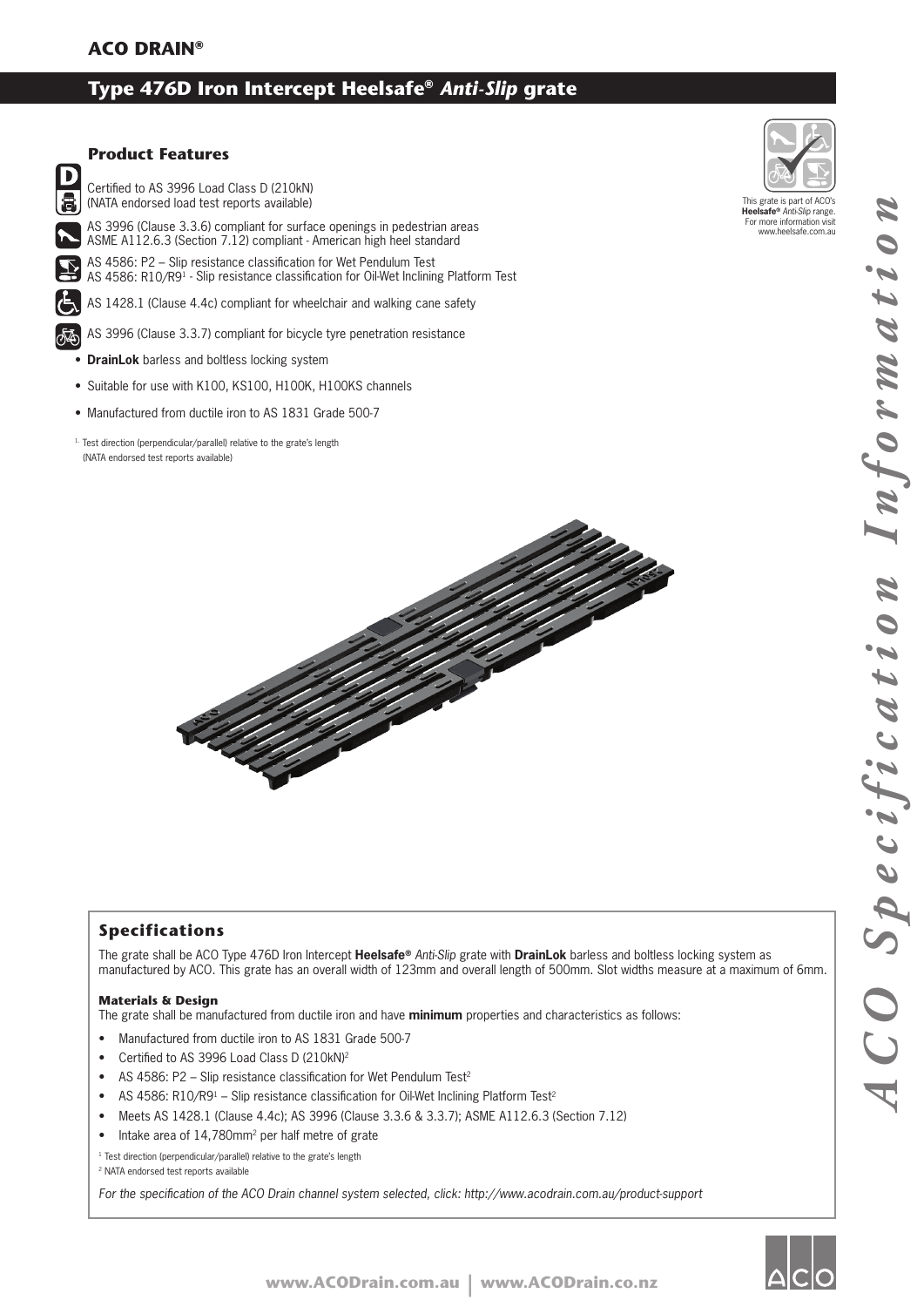# **Type 476D Iron Intercept Heelsafe®** *Anti-Slip* **grate**

# $\mathbf{D}$ S

## **Product Features**

Certified to AS 3996 Load Class D (210kN) (NATA endorsed load test reports available)

AS 3996 (Clause 3.3.6) compliant for surface openings in pedestrian areas ASME A112.6.3 (Section 7.12) compliant - American high heel standard

AS 4586: P2 – Slip resistance classification for Wet Pendulum Test AS 4586: R10/R9<sup>1</sup> - Slip resistance classification for Oil-Wet Inclining Platform Test

AS 1428.1 (Clause 4.4c) compliant for wheelchair and walking cane safety

AS 3996 (Clause 3.3.7) compliant for bicycle tyre penetration resistance

- **DrainLok** barless and boltless locking system
- Suitable for use with K100, KS100, H100K, H100KS channels
- Manufactured from ductile iron to AS 1831 Grade 500-7
- 1. Test direction (perpendicular/parallel) relative to the grate's length (NATA endorsed test reports available)



## **Specifications**

The grate shall be ACO Type 476D Iron Intercept **Heelsafe®** *Anti-Slip* grate with **DrainLok** barless and boltless locking system as manufactured by ACO. This grate has an overall width of 123mm and overall length of 500mm. Slot widths measure at a maximum of 6mm.

#### **Materials & Design**

The grate shall be manufactured from ductile iron and have **minimum** properties and characteristics as follows:

- Manufactured from ductile iron to AS 1831 Grade 500-7
- Certified to AS 3996 Load Class D (210kN)2
- AS 4586: P2 Slip resistance classification for Wet Pendulum Test<sup>2</sup>
- AS 4586: R10/R9<sup>1</sup> Slip resistance classification for Oil-Wet Inclining Platform Test<sup>2</sup>
- Meets AS 1428.1 (Clause 4.4c); AS 3996 (Clause 3.3.6 & 3.3.7); ASME A112.6.3 (Section 7.12)
- Intake area of 14,780mm<sup>2</sup> per half metre of grate

<sup>1</sup> Test direction (perpendicular/parallel) relative to the grate's length

2 NATA endorsed test reports available

For the specification of the ACO Drain channel system selected, click: http://www.acodrain.com.au/product-support



This grate is part of ACO's **Heelsafe®** *Anti-Slip* range. For more information visit www.heelsafe.com.au